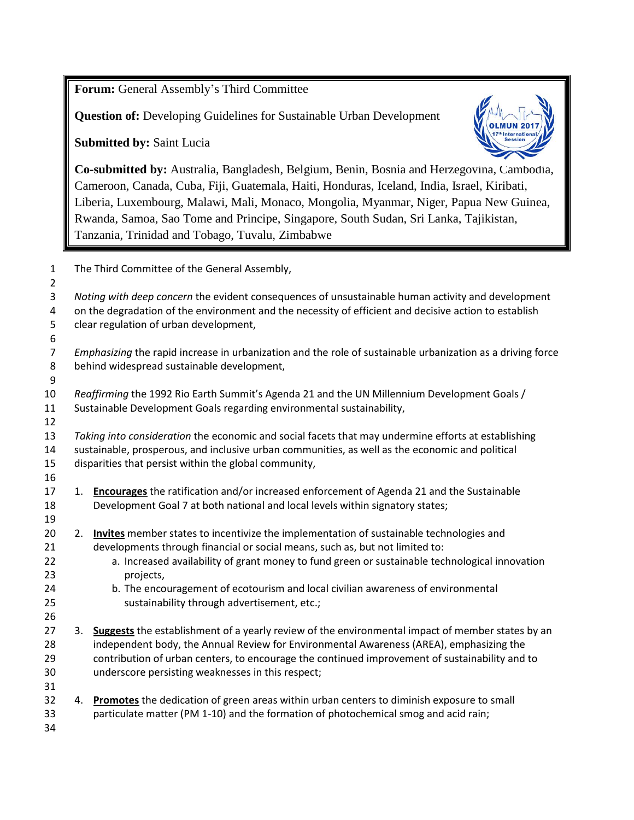**Forum:** General Assembly's Third Committee

**Question of:** Developing Guidelines for Sustainable Urban Development

**Submitted by:** Saint Lucia



**Co-submitted by:** Australia, Bangladesh, Belgium, Benin, Bosnia and Herzegovina, Cambodia, Cameroon, Canada, Cuba, Fiji, Guatemala, Haiti, Honduras, Iceland, India, Israel, Kiribati, Liberia, Luxembourg, Malawi, Mali, Monaco, Mongolia, Myanmar, Niger, Papua New Guinea, Rwanda, Samoa, Sao Tome and Principe, Singapore, South Sudan, Sri Lanka, Tajikistan, Tanzania, Trinidad and Tobago, Tuvalu, Zimbabwe

 The Third Committee of the General Assembly, *Noting with deep concern* the evident consequences of unsustainable human activity and development on the degradation of the environment and the necessity of efficient and decisive action to establish clear regulation of urban development, *Emphasizing* the rapid increase in urbanization and the role of sustainable urbanization as a driving force behind widespread sustainable development, *Reaffirming* the 1992 Rio Earth Summit's Agenda 21 and the UN Millennium Development Goals / Sustainable Development Goals regarding environmental sustainability, *Taking into consideration* the economic and social facets that may undermine efforts at establishing sustainable, prosperous, and inclusive urban communities, as well as the economic and political disparities that persist within the global community, 1. **Encourages** the ratification and/or increased enforcement of Agenda 21 and the Sustainable Development Goal 7 at both national and local levels within signatory states; 2. **Invites** member states to incentivize the implementation of sustainable technologies and developments through financial or social means, such as, but not limited to: a. Increased availability of grant money to fund green or sustainable technological innovation projects, b. The encouragement of ecotourism and local civilian awareness of environmental sustainability through advertisement, etc.; 3. **Suggests** the establishment of a yearly review of the environmental impact of member states by an independent body, the Annual Review for Environmental Awareness (AREA), emphasizing the contribution of urban centers, to encourage the continued improvement of sustainability and to underscore persisting weaknesses in this respect; 4. **Promotes** the dedication of green areas within urban centers to diminish exposure to small particulate matter (PM 1-10) and the formation of photochemical smog and acid rain;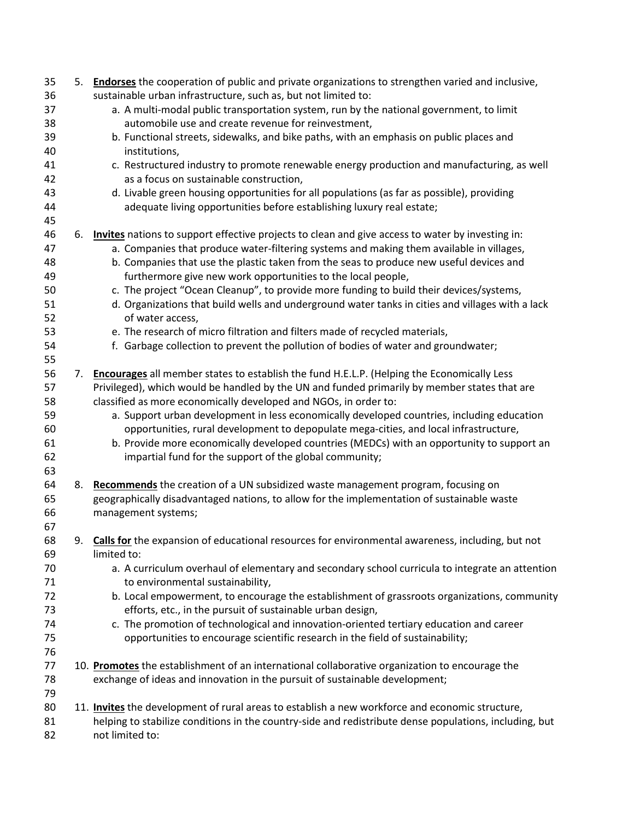| 35       |    | 5. Endorses the cooperation of public and private organizations to strengthen varied and inclusive,                                            |
|----------|----|------------------------------------------------------------------------------------------------------------------------------------------------|
| 36       |    | sustainable urban infrastructure, such as, but not limited to:                                                                                 |
| 37<br>38 |    | a. A multi-modal public transportation system, run by the national government, to limit<br>automobile use and create revenue for reinvestment, |
| 39       |    | b. Functional streets, sidewalks, and bike paths, with an emphasis on public places and                                                        |
| 40       |    | institutions,                                                                                                                                  |
| 41       |    | c. Restructured industry to promote renewable energy production and manufacturing, as well                                                     |
| 42       |    | as a focus on sustainable construction,                                                                                                        |
| 43       |    | d. Livable green housing opportunities for all populations (as far as possible), providing                                                     |
| 44       |    | adequate living opportunities before establishing luxury real estate;                                                                          |
| 45       |    |                                                                                                                                                |
| 46       | 6. | Invites nations to support effective projects to clean and give access to water by investing in:                                               |
| 47       |    | a. Companies that produce water-filtering systems and making them available in villages,                                                       |
| 48       |    | b. Companies that use the plastic taken from the seas to produce new useful devices and                                                        |
| 49       |    | furthermore give new work opportunities to the local people,                                                                                   |
| 50       |    | c. The project "Ocean Cleanup", to provide more funding to build their devices/systems,                                                        |
| 51<br>52 |    | d. Organizations that build wells and underground water tanks in cities and villages with a lack<br>of water access,                           |
| 53       |    | e. The research of micro filtration and filters made of recycled materials,                                                                    |
| 54       |    | f. Garbage collection to prevent the pollution of bodies of water and groundwater;                                                             |
| 55       |    |                                                                                                                                                |
| 56       |    | 7. Encourages all member states to establish the fund H.E.L.P. (Helping the Economically Less                                                  |
| 57       |    | Privileged), which would be handled by the UN and funded primarily by member states that are                                                   |
| 58       |    | classified as more economically developed and NGOs, in order to:                                                                               |
| 59       |    | a. Support urban development in less economically developed countries, including education                                                     |
| 60       |    | opportunities, rural development to depopulate mega-cities, and local infrastructure,                                                          |
| 61       |    | b. Provide more economically developed countries (MEDCs) with an opportunity to support an                                                     |
| 62       |    | impartial fund for the support of the global community;                                                                                        |
| 63       |    |                                                                                                                                                |
| 64       |    | 8. Recommends the creation of a UN subsidized waste management program, focusing on                                                            |
| 65       |    | geographically disadvantaged nations, to allow for the implementation of sustainable waste                                                     |
| 66       |    | management systems;                                                                                                                            |
| 67       |    |                                                                                                                                                |
| 68       | 9. | Calls for the expansion of educational resources for environmental awareness, including, but not                                               |
| 69       |    | limited to:                                                                                                                                    |
| 70       |    | a. A curriculum overhaul of elementary and secondary school curricula to integrate an attention                                                |
| 71       |    | to environmental sustainability,                                                                                                               |
| 72       |    | b. Local empowerment, to encourage the establishment of grassroots organizations, community                                                    |
| 73       |    | efforts, etc., in the pursuit of sustainable urban design,                                                                                     |
| 74       |    | c. The promotion of technological and innovation-oriented tertiary education and career                                                        |
| 75       |    | opportunities to encourage scientific research in the field of sustainability;                                                                 |
| 76       |    |                                                                                                                                                |
| 77       |    | 10. Promotes the establishment of an international collaborative organization to encourage the                                                 |
| 78       |    | exchange of ideas and innovation in the pursuit of sustainable development;                                                                    |
| 79       |    |                                                                                                                                                |
| 80       |    | 11. Invites the development of rural areas to establish a new workforce and economic structure,                                                |
| 81       |    | helping to stabilize conditions in the country-side and redistribute dense populations, including, but                                         |
| 82       |    | not limited to:                                                                                                                                |